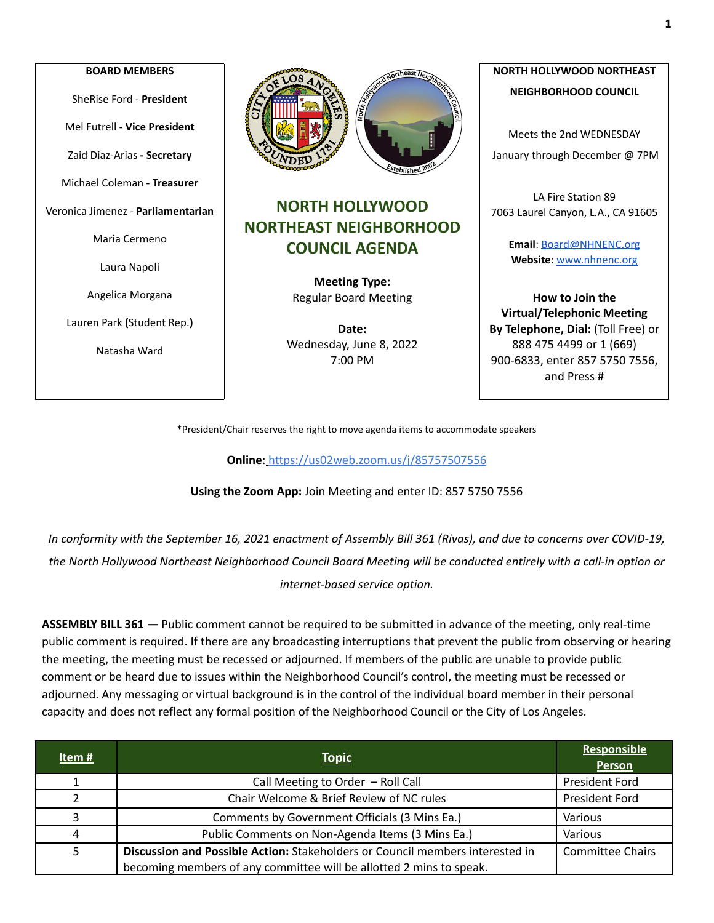## **BOARD MEMBERS** SheRise Ford - **President** Mel Futrell **- Vice President** Zaid Diaz-Arias **- Secretary** Michael Coleman **- Treasurer** Veronica Jimenez - **Parliamentarian** Maria Cermeno Laura Napoli Angelica Morgana Lauren Park **(**Student Rep.**)** Natasha Ward



## **NORTH HOLLYWOOD NORTHEAST NEIGHBORHOOD COUNCIL AGENDA**

**Meeting Type:** Regular Board Meeting

**Date:** Wednesday, June 8, 2022 7:00 PM

## **NORTH HOLLYWOOD NORTHEAST NEIGHBORHOOD COUNCIL**

Meets the 2nd WEDNESDAY January through December @ 7PM

LA Fire Station 89 7063 Laurel Canyon, L.A., CA 91605

> **Email**: [Board@NHNENC.org](mailto:Board@NHNENC.org) **Website**: [www.nhnenc.org](http://www.nhnenc.org)

**How to Join the Virtual/Telephonic Meeting By Telephone, Dial:** (Toll Free) or 888 475 4499 or 1 (669) 900-6833, enter 857 5750 7556, and Press #

\*President/Chair reserves the right to move agenda items to accommodate speakers

**Online**: <https://us02web.zoom.us/j/85757507556>

**Using the Zoom App:** Join Meeting and enter ID: 857 5750 7556

In conformity with the September 16, 2021 enactment of Assembly Bill 361 (Rivas), and due to concerns over COVID-19, the North Hollywood Northeast Neighborhood Council Board Meeting will be conducted entirely with a call-in option or *internet-based service option.*

**ASSEMBLY BILL 361 —** Public comment cannot be required to be submitted in advance of the meeting, only real-time public comment is required. If there are any broadcasting interruptions that prevent the public from observing or hearing the meeting, the meeting must be recessed or adjourned. If members of the public are unable to provide public comment or be heard due to issues within the Neighborhood Council's control, the meeting must be recessed or adjourned. Any messaging or virtual background is in the control of the individual board member in their personal capacity and does not reflect any formal position of the Neighborhood Council or the City of Los Angeles.

| Item $#$      | <b>Topic</b>                                                                  | <b>Responsible</b><br>Person |
|---------------|-------------------------------------------------------------------------------|------------------------------|
|               | Call Meeting to Order - Roll Call                                             | <b>President Ford</b>        |
| $\mathcal{P}$ | Chair Welcome & Brief Review of NC rules                                      | <b>President Ford</b>        |
| 3             | Comments by Government Officials (3 Mins Ea.)                                 | Various                      |
| 4             | Public Comments on Non-Agenda Items (3 Mins Ea.)                              | Various                      |
|               | Discussion and Possible Action: Stakeholders or Council members interested in | <b>Committee Chairs</b>      |
|               | becoming members of any committee will be allotted 2 mins to speak.           |                              |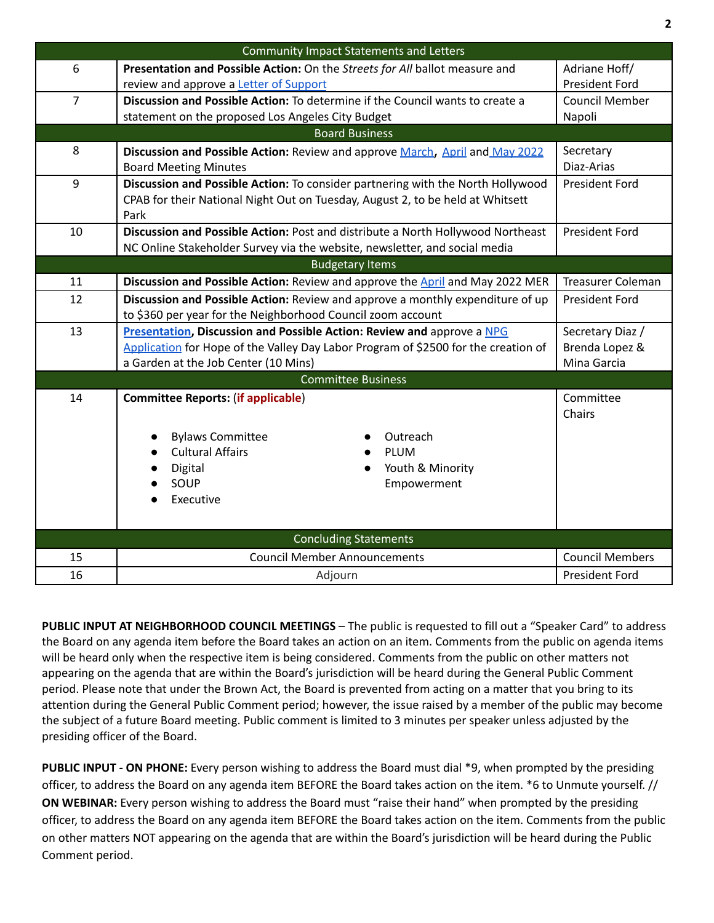| <b>Community Impact Statements and Letters</b> |                                                                                                                                       |                          |  |
|------------------------------------------------|---------------------------------------------------------------------------------------------------------------------------------------|--------------------------|--|
| 6                                              | Presentation and Possible Action: On the Streets for All ballot measure and                                                           | Adriane Hoff/            |  |
|                                                | review and approve a Letter of Support                                                                                                | <b>President Ford</b>    |  |
| $\overline{7}$                                 | Discussion and Possible Action: To determine if the Council wants to create a                                                         | <b>Council Member</b>    |  |
|                                                | statement on the proposed Los Angeles City Budget                                                                                     | Napoli                   |  |
| <b>Board Business</b>                          |                                                                                                                                       |                          |  |
| 8                                              | Discussion and Possible Action: Review and approve March, April and May 2022                                                          | Secretary                |  |
|                                                | <b>Board Meeting Minutes</b>                                                                                                          | Diaz-Arias               |  |
| 9                                              | Discussion and Possible Action: To consider partnering with the North Hollywood                                                       | <b>President Ford</b>    |  |
|                                                | CPAB for their National Night Out on Tuesday, August 2, to be held at Whitsett                                                        |                          |  |
|                                                | Park                                                                                                                                  |                          |  |
| 10                                             | Discussion and Possible Action: Post and distribute a North Hollywood Northeast                                                       | <b>President Ford</b>    |  |
|                                                | NC Online Stakeholder Survey via the website, newsletter, and social media                                                            |                          |  |
|                                                | <b>Budgetary Items</b>                                                                                                                |                          |  |
| 11                                             | Discussion and Possible Action: Review and approve the April and May 2022 MER                                                         | <b>Treasurer Coleman</b> |  |
| 12                                             | Discussion and Possible Action: Review and approve a monthly expenditure of up                                                        | <b>President Ford</b>    |  |
| 13                                             | to \$360 per year for the Neighborhood Council zoom account<br>Presentation, Discussion and Possible Action: Review and approve a NPG | Secretary Diaz /         |  |
|                                                | Application for Hope of the Valley Day Labor Program of \$2500 for the creation of                                                    | Brenda Lopez &           |  |
|                                                | a Garden at the Job Center (10 Mins)                                                                                                  | Mina Garcia              |  |
|                                                | <b>Committee Business</b>                                                                                                             |                          |  |
| 14                                             | <b>Committee Reports: (if applicable)</b>                                                                                             | Committee                |  |
|                                                |                                                                                                                                       | Chairs                   |  |
|                                                |                                                                                                                                       |                          |  |
|                                                | <b>Bylaws Committee</b><br>Outreach                                                                                                   |                          |  |
|                                                | <b>Cultural Affairs</b><br><b>PLUM</b>                                                                                                |                          |  |
|                                                | Youth & Minority<br>Digital<br>SOUP<br>Empowerment                                                                                    |                          |  |
|                                                | Executive                                                                                                                             |                          |  |
|                                                |                                                                                                                                       |                          |  |
|                                                |                                                                                                                                       |                          |  |
|                                                | <b>Concluding Statements</b>                                                                                                          |                          |  |
| 15                                             | <b>Council Member Announcements</b>                                                                                                   | <b>Council Members</b>   |  |
| 16                                             | Adjourn                                                                                                                               | <b>President Ford</b>    |  |

**PUBLIC INPUT AT NEIGHBORHOOD COUNCIL MEETINGS** – The public is requested to fill out a "Speaker Card" to address the Board on any agenda item before the Board takes an action on an item. Comments from the public on agenda items will be heard only when the respective item is being considered. Comments from the public on other matters not appearing on the agenda that are within the Board's jurisdiction will be heard during the General Public Comment period. Please note that under the Brown Act, the Board is prevented from acting on a matter that you bring to its attention during the General Public Comment period; however, the issue raised by a member of the public may become the subject of a future Board meeting. Public comment is limited to 3 minutes per speaker unless adjusted by the presiding officer of the Board.

**PUBLIC INPUT - ON PHONE:** Every person wishing to address the Board must dial \*9, when prompted by the presiding officer, to address the Board on any agenda item BEFORE the Board takes action on the item. \*6 to Unmute yourself. // **ON WEBINAR:** Every person wishing to address the Board must "raise their hand" when prompted by the presiding officer, to address the Board on any agenda item BEFORE the Board takes action on the item. Comments from the public on other matters NOT appearing on the agenda that are within the Board's jurisdiction will be heard during the Public Comment period.